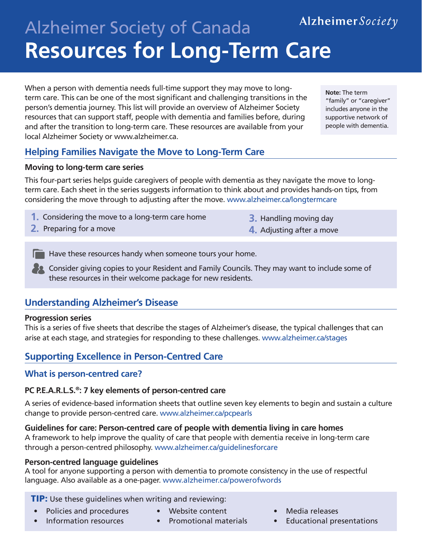# Alzheimer Society Alzheimer Society of Canada **Resources for Long-Term Care**

When a person with dementia needs full-time support they may move to longterm care. This can be one of the most significant and challenging transitions in the person's dementia journey. This list will provide an overview of Alzheimer Society resources that can support staff, people with dementia and families before, during and after the transition to long-term care. These resources are available from your local Alzheimer Society or www.alzheimer.ca.

**Note:** The term "family" or "caregiver" includes anyone in the supportive network of people with dementia.

# **Helping Families Navigate the Move to Long-Term Care**

#### **Moving to long-term care series**

This four-part series helps guide caregivers of people with dementia as they navigate the move to longterm care. Each sheet in the series suggests information to think about and provides hands-on tips, from considering the move through to adjusting after the move. www.alzheimer.ca/longtermcare

- **1.** Considering the move to a long-term care home
- **2.** Preparing for a move
- **3.** Handling moving day
- **4.** Adjusting after a move

 $\Box$  Have these resources handy when someone tours your home.

**Consider giving copies to your Resident and Family Councils. They may want to include some of** these resources in their welcome package for new residents.

# **Understanding Alzheimer's Disease**

#### **Progression series**

This is a series of five sheets that describe the stages of Alzheimer's disease, the typical challenges that can arise at each stage, and strategies for responding to these challenges. www.alzheimer.ca/stages

# **Supporting Excellence in Person-Centred Care**

# **What is person-centred care?**

#### **PC P.E.A.R.L.S.®: 7 key elements of person-centred care**

A series of evidence-based information sheets that outline seven key elements to begin and sustain a culture change to provide person-centred care. www.alzheimer.ca/pcpearls

#### **Guidelines for care: Person-centred care of people with dementia living in care homes**

A framework to help improve the quality of care that people with dementia receive in long-term care through a person-centred philosophy. www.alzheimer.ca/guidelinesforcare

#### **Person-centred language guidelines**

A tool for anyone supporting a person with dementia to promote consistency in the use of respectful language. Also available as a one-pager. www.alzheimer.ca/powerofwords

#### **TIP:** Use these guidelines when writing and reviewing:

- Policies and procedures
- Website content
- Information resources
- Promotional materials
- Media releases
- Educational presentations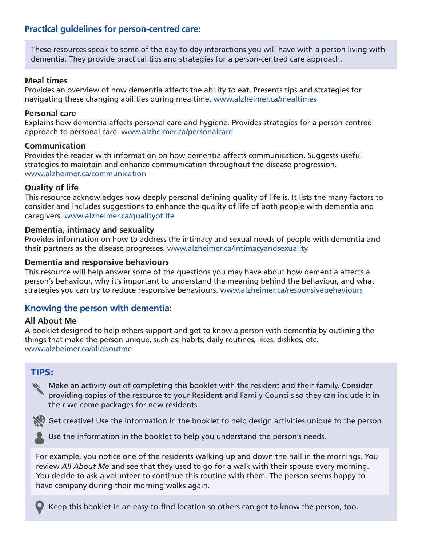# **Practical guidelines for person-centred care:**

These resources speak to some of the day-to-day interactions you will have with a person living with dementia. They provide practical tips and strategies for a person-centred care approach.

#### **Meal times**

Provides an overview of how dementia affects the ability to eat. Presents tips and strategies for navigating these changing abilities during mealtime. www.alzheimer.ca/mealtimes

#### **Personal care**

Explains how dementia affects personal care and hygiene. Provides strategies for a person-centred approach to personal care. www.alzheimer.ca/personalcare

#### **Communication**

Provides the reader with information on how dementia affects communication. Suggests useful strategies to maintain and enhance communication throughout the disease progression. [www.alzheimer.ca/communication](http://www.alzheimer.ca/communication)

#### **Quality of life**

This resource acknowledges how deeply personal defining quality of life is. It lists the many factors to consider and includes suggestions to enhance the quality of life of both people with dementia and caregivers. www.alzheimer.ca/qualityoflife

#### **Dementia, intimacy and sexuality**

Provides information on how to address the intimacy and sexual needs of people with dementia and their partners as the disease progresses. www.alzheimer.ca/intimacyandsexuality

#### **Dementia and responsive behaviours**

This resource will help answer some of the questions you may have about how dementia affects a person's behaviour, why it's important to understand the meaning behind the behaviour, and what strategies you can try to reduce responsive behaviours. www.alzheimer.ca/responsivebehaviours

#### **Knowing the person with dementia:**

#### **All About Me**

A booklet designed to help others support and get to know a person with dementia by outlining the things that make the person unique, such as: habits, daily routines, likes, dislikes, etc. www.alzheimer.ca/allaboutme

# TIPS:

Make an activity out of completing this booklet with the resident and their family. Consider providing copies of the resource to your Resident and Family Councils so they can include it in their welcome packages for new residents.



Get creative! Use the information in the booklet to help design activities unique to the person.



Use the information in the booklet to help you understand the person's needs.

For example, you notice one of the residents walking up and down the hall in the mornings. You review *All About Me* and see that they used to go for a walk with their spouse every morning. You decide to ask a volunteer to continue this routine with them. The person seems happy to have company during their morning walks again.



Keep this booklet in an easy-to-find location so others can get to know the person, too.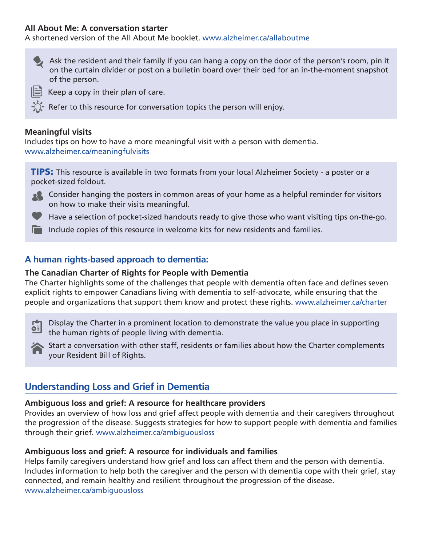#### **All About Me: A conversation starter**

A shortened version of the All About Me booklet. www.alzheimer.ca/allaboutme



 $\equiv$  Keep a copy in their plan of care.

Refer to this resource for conversation topics the person will enjoy.

#### **Meaningful visits**

Includes tips on how to have a more meaningful visit with a person with dementia. www.alzheimer.ca/meaningfulvisits

TIPS: This resource is available in two formats from your local Alzheimer Society - a poster or a pocket-sized foldout.



Have a selection of pocket-sized handouts ready to give those who want visiting tips on-the-go.

Include copies of this resource in welcome kits for new residents and families.

# **A human rights-based approach to dementia:**

#### **The Canadian Charter of Rights for People with Dementia**

The Charter highlights some of the challenges that people with dementia often face and defines seven explicit rights to empower Canadians living with dementia to self-advocate, while ensuring that the people and organizations that support them know and protect these rights. www.alzheimer.ca/charter

 Display the Charter in a prominent location to demonstrate the value you place in supporting  $\mathbf{S}$ the human rights of people living with dementia.



Start a conversation with other staff, residents or families about how the Charter complements your Resident Bill of Rights.

# **Understanding Loss and Grief in Dementia**

#### **Ambiguous loss and grief: A resource for healthcare providers**

Provides an overview of how loss and grief affect people with dementia and their caregivers throughout the progression of the disease. Suggests strategies for how to support people with dementia and families through their grief. www.alzheimer.ca/ambiguousloss

#### **Ambiguous loss and grief: A resource for individuals and families**

Helps family caregivers understand how grief and loss can affect them and the person with dementia. Includes information to help both the caregiver and the person with dementia cope with their grief, stay connected, and remain healthy and resilient throughout the progression of the disease. [www.alzheimer.ca/ambiguousloss](http://www.alzheimer.ca/ambiguousloss)